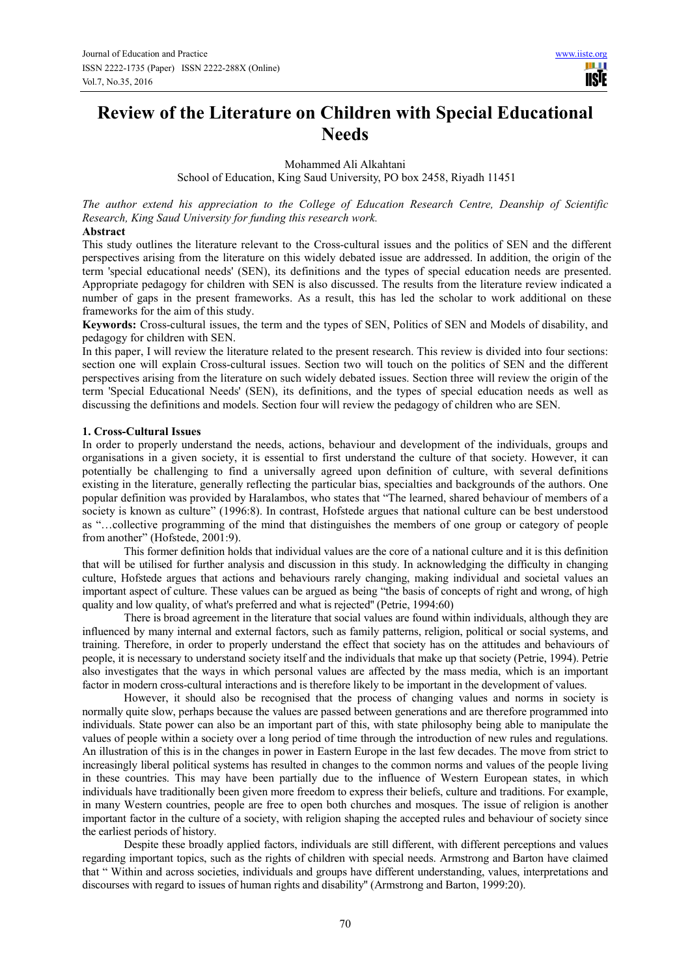# **Review of the Literature on Children with Special Educational Needs**

Mohammed Ali Alkahtani

School of Education, King Saud University, PO box 2458, Riyadh 11451

*The author extend his appreciation to the College of Education Research Centre, Deanship of Scientific Research, King Saud University for funding this research work.* 

## **Abstract**

This study outlines the literature relevant to the Cross-cultural issues and the politics of SEN and the different perspectives arising from the literature on this widely debated issue are addressed. In addition, the origin of the term 'special educational needs' (SEN), its definitions and the types of special education needs are presented. Appropriate pedagogy for children with SEN is also discussed. The results from the literature review indicated a number of gaps in the present frameworks. As a result, this has led the scholar to work additional on these frameworks for the aim of this study.

**Keywords:** Cross-cultural issues, the term and the types of SEN, Politics of SEN and Models of disability, and pedagogy for children with SEN.

In this paper, I will review the literature related to the present research. This review is divided into four sections: section one will explain Cross-cultural issues. Section two will touch on the politics of SEN and the different perspectives arising from the literature on such widely debated issues. Section three will review the origin of the term 'Special Educational Needs' (SEN), its definitions, and the types of special education needs as well as discussing the definitions and models. Section four will review the pedagogy of children who are SEN.

# **1. Cross-Cultural Issues**

In order to properly understand the needs, actions, behaviour and development of the individuals, groups and organisations in a given society, it is essential to first understand the culture of that society. However, it can potentially be challenging to find a universally agreed upon definition of culture, with several definitions existing in the literature, generally reflecting the particular bias, specialties and backgrounds of the authors. One popular definition was provided by Haralambos, who states that "The learned, shared behaviour of members of a society is known as culture" (1996:8). In contrast, Hofstede argues that national culture can be best understood as "…collective programming of the mind that distinguishes the members of one group or category of people from another" (Hofstede, 2001:9).

This former definition holds that individual values are the core of a national culture and it is this definition that will be utilised for further analysis and discussion in this study. In acknowledging the difficulty in changing culture, Hofstede argues that actions and behaviours rarely changing, making individual and societal values an important aspect of culture. These values can be argued as being "the basis of concepts of right and wrong, of high quality and low quality, of what's preferred and what is rejected'' (Petrie, 1994:60)

There is broad agreement in the literature that social values are found within individuals, although they are influenced by many internal and external factors, such as family patterns, religion, political or social systems, and training. Therefore, in order to properly understand the effect that society has on the attitudes and behaviours of people, it is necessary to understand society itself and the individuals that make up that society (Petrie, 1994). Petrie also investigates that the ways in which personal values are affected by the mass media, which is an important factor in modern cross-cultural interactions and is therefore likely to be important in the development of values.

However, it should also be recognised that the process of changing values and norms in society is normally quite slow, perhaps because the values are passed between generations and are therefore programmed into individuals. State power can also be an important part of this, with state philosophy being able to manipulate the values of people within a society over a long period of time through the introduction of new rules and regulations. An illustration of this is in the changes in power in Eastern Europe in the last few decades. The move from strict to increasingly liberal political systems has resulted in changes to the common norms and values of the people living in these countries. This may have been partially due to the influence of Western European states, in which individuals have traditionally been given more freedom to express their beliefs, culture and traditions. For example, in many Western countries, people are free to open both churches and mosques. The issue of religion is another important factor in the culture of a society, with religion shaping the accepted rules and behaviour of society since the earliest periods of history.

Despite these broadly applied factors, individuals are still different, with different perceptions and values regarding important topics, such as the rights of children with special needs. Armstrong and Barton have claimed that " Within and across societies, individuals and groups have different understanding, values, interpretations and discourses with regard to issues of human rights and disability'' (Armstrong and Barton, 1999:20).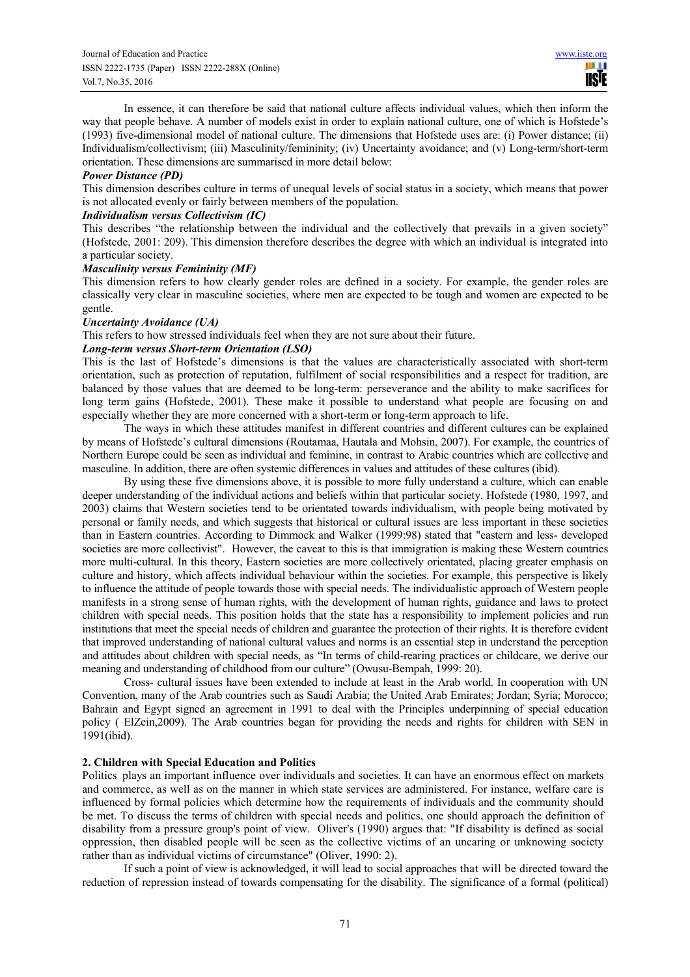In essence, it can therefore be said that national culture affects individual values, which then inform the way that people behave. A number of models exist in order to explain national culture, one of which is Hofstede's (1993) five-dimensional model of national culture. The dimensions that Hofstede uses are: (i) Power distance; (ii) Individualism/collectivism; (iii) Masculinity/femininity; (iv) Uncertainty avoidance; and (v) Long-term/short-term orientation. These dimensions are summarised in more detail below:

## *Power Distance (PD)*

This dimension describes culture in terms of unequal levels of social status in a society, which means that power is not allocated evenly or fairly between members of the population.

# *Individualism versus Collectivism (IC)*

This describes "the relationship between the individual and the collectively that prevails in a given society" (Hofstede, 2001: 209). This dimension therefore describes the degree with which an individual is integrated into a particular society.

## *Masculinity versus Femininity (MF)*

This dimension refers to how clearly gender roles are defined in a society. For example, the gender roles are classically very clear in masculine societies, where men are expected to be tough and women are expected to be gentle.

## *Uncertainty Avoidance (UA)*

This refers to how stressed individuals feel when they are not sure about their future.

# *Long-term versus Short-term Orientation (LSO)*

This is the last of Hofstede's dimensions is that the values are characteristically associated with short-term orientation, such as protection of reputation, fulfilment of social responsibilities and a respect for tradition, are balanced by those values that are deemed to be long-term: perseverance and the ability to make sacrifices for long term gains (Hofstede, 2001). These make it possible to understand what people are focusing on and especially whether they are more concerned with a short-term or long-term approach to life.

The ways in which these attitudes manifest in different countries and different cultures can be explained by means of Hofstede's cultural dimensions (Routamaa, Hautala and Mohsin, 2007). For example, the countries of Northern Europe could be seen as individual and feminine, in contrast to Arabic countries which are collective and masculine. In addition, there are often systemic differences in values and attitudes of these cultures (ibid).

By using these five dimensions above, it is possible to more fully understand a culture, which can enable deeper understanding of the individual actions and beliefs within that particular society. Hofstede (1980, 1997, and 2003) claims that Western societies tend to be orientated towards individualism, with people being motivated by personal or family needs, and which suggests that historical or cultural issues are less important in these societies than in Eastern countries. According to Dimmock and Walker (1999:98) stated that "eastern and less- developed societies are more collectivist". However, the caveat to this is that immigration is making these Western countries more multi-cultural. In this theory, Eastern societies are more collectively orientated, placing greater emphasis on culture and history, which affects individual behaviour within the societies. For example, this perspective is likely to influence the attitude of people towards those with special needs. The individualistic approach of Western people manifests in a strong sense of human rights, with the development of human rights, guidance and laws to protect children with special needs. This position holds that the state has a responsibility to implement policies and run institutions that meet the special needs of children and guarantee the protection of their rights. It is therefore evident that improved understanding of national cultural values and norms is an essential step in understand the perception and attitudes about children with special needs, as "In terms of child-rearing practices or childcare, we derive our meaning and understanding of childhood from our culture" (Owusu-Bempah, 1999: 20).

Cross- cultural issues have been extended to include at least in the Arab world. In cooperation with UN Convention, many of the Arab countries such as Saudi Arabia; the United Arab Emirates; Jordan; Syria; Morocco; Bahrain and Egypt signed an agreement in 1991 to deal with the Principles underpinning of special education policy ( ElZein,2009). The Arab countries began for providing the needs and rights for children with SEN in 1991(ibid).

# **2. Children with Special Education and Politics**

Politics plays an important influence over individuals and societies. It can have an enormous effect on markets and commerce, as well as on the manner in which state services are administered. For instance, welfare care is influenced by formal policies which determine how the requirements of individuals and the community should be met. To discuss the terms of children with special needs and politics, one should approach the definition of disability from a pressure group's point of view. Oliver's (1990) argues that: "If disability is defined as social oppression, then disabled people will be seen as the collective victims of an uncaring or unknowing society rather than as individual victims of circumstance" (Oliver, 1990: 2).

If such a point of view is acknowledged, it will lead to social approaches that will be directed toward the reduction of repression instead of towards compensating for the disability. The significance of a formal (political)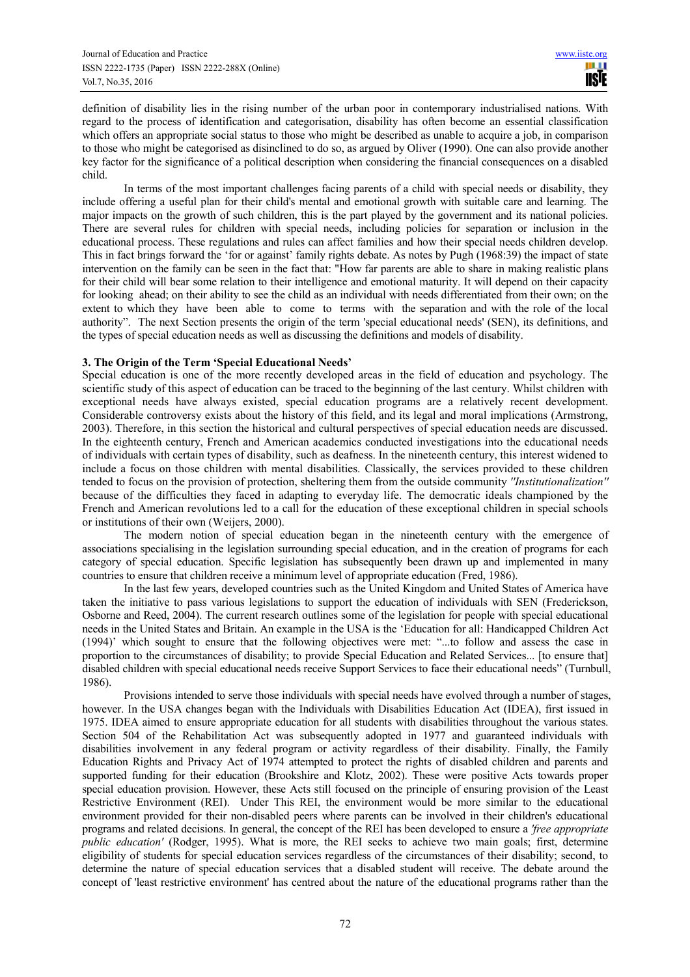definition of disability lies in the rising number of the urban poor in contemporary industrialised nations. With regard to the process of identification and categorisation, disability has often become an essential classification which offers an appropriate social status to those who might be described as unable to acquire a job, in comparison to those who might be categorised as disinclined to do so, as argued by Oliver (1990). One can also provide another key factor for the significance of a political description when considering the financial consequences on a disabled child.

In terms of the most important challenges facing parents of a child with special needs or disability, they include offering a useful plan for their child's mental and emotional growth with suitable care and learning. The major impacts on the growth of such children, this is the part played by the government and its national policies. There are several rules for children with special needs, including policies for separation or inclusion in the educational process. These regulations and rules can affect families and how their special needs children develop. This in fact brings forward the 'for or against' family rights debate. As notes by Pugh (1968:39) the impact of state intervention on the family can be seen in the fact that: "How far parents are able to share in making realistic plans for their child will bear some relation to their intelligence and emotional maturity. It will depend on their capacity for looking ahead; on their ability to see the child as an individual with needs differentiated from their own; on the extent to which they have been able to come to terms with the separation and with the role of the local authority". The next Section presents the origin of the term 'special educational needs' (SEN), its definitions, and the types of special education needs as well as discussing the definitions and models of disability.

# **3. The Origin of the Term 'Special Educational Needs'**

Special education is one of the more recently developed areas in the field of education and psychology. The scientific study of this aspect of education can be traced to the beginning of the last century. Whilst children with exceptional needs have always existed, special education programs are a relatively recent development. Considerable controversy exists about the history of this field, and its legal and moral implications (Armstrong, 2003). Therefore, in this section the historical and cultural perspectives of special education needs are discussed. In the eighteenth century, French and American academics conducted investigations into the educational needs of individuals with certain types of disability, such as deafness. In the nineteenth century, this interest widened to include a focus on those children with mental disabilities. Classically, the services provided to these children tended to focus on the provision of protection, sheltering them from the outside community *''Institutionalization''* because of the difficulties they faced in adapting to everyday life. The democratic ideals championed by the French and American revolutions led to a call for the education of these exceptional children in special schools or institutions of their own (Weijers, 2000).

The modern notion of special education began in the nineteenth century with the emergence of associations specialising in the legislation surrounding special education, and in the creation of programs for each category of special education. Specific legislation has subsequently been drawn up and implemented in many countries to ensure that children receive a minimum level of appropriate education (Fred, 1986).

In the last few years, developed countries such as the United Kingdom and United States of America have taken the initiative to pass various legislations to support the education of individuals with SEN (Frederickson, Osborne and Reed, 2004). The current research outlines some of the legislation for people with special educational needs in the United States and Britain. An example in the USA is the 'Education for all: Handicapped Children Act (1994)' which sought to ensure that the following objectives were met: "...to follow and assess the case in proportion to the circumstances of disability; to provide Special Education and Related Services... [to ensure that] disabled children with special educational needs receive Support Services to face their educational needs" (Turnbull, 1986).

Provisions intended to serve those individuals with special needs have evolved through a number of stages, however. In the USA changes began with the Individuals with Disabilities Education Act (IDEA), first issued in 1975. IDEA aimed to ensure appropriate education for all students with disabilities throughout the various states. Section 504 of the Rehabilitation Act was subsequently adopted in 1977 and guaranteed individuals with disabilities involvement in any federal program or activity regardless of their disability. Finally, the Family Education Rights and Privacy Act of 1974 attempted to protect the rights of disabled children and parents and supported funding for their education (Brookshire and Klotz, 2002). These were positive Acts towards proper special education provision. However, these Acts still focused on the principle of ensuring provision of the Least Restrictive Environment (REI). Under This REI, the environment would be more similar to the educational environment provided for their non-disabled peers where parents can be involved in their children's educational programs and related decisions. In general, the concept of the REI has been developed to ensure a *'free appropriate public education'* (Rodger, 1995). What is more, the REI seeks to achieve two main goals; first, determine eligibility of students for special education services regardless of the circumstances of their disability; second, to determine the nature of special education services that a disabled student will receive. The debate around the concept of 'least restrictive environment' has centred about the nature of the educational programs rather than the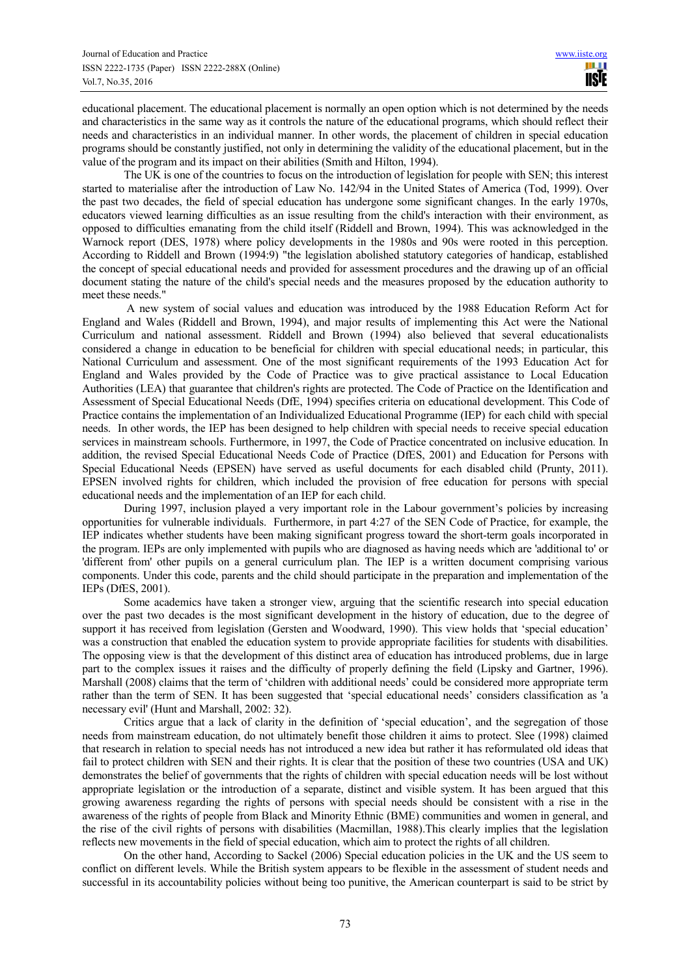educational placement. The educational placement is normally an open option which is not determined by the needs and characteristics in the same way as it controls the nature of the educational programs, which should reflect their needs and characteristics in an individual manner. In other words, the placement of children in special education programs should be constantly justified, not only in determining the validity of the educational placement, but in the value of the program and its impact on their abilities (Smith and Hilton, 1994).

The UK is one of the countries to focus on the introduction of legislation for people with SEN; this interest started to materialise after the introduction of Law No. 142/94 in the United States of America (Tod, 1999). Over the past two decades, the field of special education has undergone some significant changes. In the early 1970s, educators viewed learning difficulties as an issue resulting from the child's interaction with their environment, as opposed to difficulties emanating from the child itself (Riddell and Brown, 1994). This was acknowledged in the Warnock report (DES, 1978) where policy developments in the 1980s and 90s were rooted in this perception. According to Riddell and Brown (1994:9) "the legislation abolished statutory categories of handicap, established the concept of special educational needs and provided for assessment procedures and the drawing up of an official document stating the nature of the child's special needs and the measures proposed by the education authority to meet these needs."

 A new system of social values and education was introduced by the 1988 Education Reform Act for England and Wales (Riddell and Brown, 1994), and major results of implementing this Act were the National Curriculum and national assessment. Riddell and Brown (1994) also believed that several educationalists considered a change in education to be beneficial for children with special educational needs; in particular, this National Curriculum and assessment. One of the most significant requirements of the 1993 Education Act for England and Wales provided by the Code of Practice was to give practical assistance to Local Education Authorities (LEA) that guarantee that children's rights are protected. The Code of Practice on the Identification and Assessment of Special Educational Needs (DfE, 1994) specifies criteria on educational development. This Code of Practice contains the implementation of an Individualized Educational Programme (IEP) for each child with special needs. In other words, the IEP has been designed to help children with special needs to receive special education services in mainstream schools. Furthermore, in 1997, the Code of Practice concentrated on inclusive education. In addition, the revised Special Educational Needs Code of Practice (DfES, 2001) and Education for Persons with Special Educational Needs (EPSEN) have served as useful documents for each disabled child (Prunty, 2011). EPSEN involved rights for children, which included the provision of free education for persons with special educational needs and the implementation of an IEP for each child.

During 1997, inclusion played a very important role in the Labour government's policies by increasing opportunities for vulnerable individuals. Furthermore, in part 4:27 of the SEN Code of Practice, for example, the IEP indicates whether students have been making significant progress toward the short-term goals incorporated in the program. IEPs are only implemented with pupils who are diagnosed as having needs which are 'additional to' or 'different from' other pupils on a general curriculum plan. The IEP is a written document comprising various components. Under this code, parents and the child should participate in the preparation and implementation of the IEPs (DfES, 2001).

Some academics have taken a stronger view, arguing that the scientific research into special education over the past two decades is the most significant development in the history of education, due to the degree of support it has received from legislation (Gersten and Woodward, 1990). This view holds that 'special education' was a construction that enabled the education system to provide appropriate facilities for students with disabilities. The opposing view is that the development of this distinct area of education has introduced problems, due in large part to the complex issues it raises and the difficulty of properly defining the field (Lipsky and Gartner, 1996). Marshall (2008) claims that the term of 'children with additional needs' could be considered more appropriate term rather than the term of SEN. It has been suggested that 'special educational needs' considers classification as 'a necessary evil' (Hunt and Marshall, 2002: 32).

Critics argue that a lack of clarity in the definition of 'special education', and the segregation of those needs from mainstream education, do not ultimately benefit those children it aims to protect. Slee (1998) claimed that research in relation to special needs has not introduced a new idea but rather it has reformulated old ideas that fail to protect children with SEN and their rights. It is clear that the position of these two countries (USA and UK) demonstrates the belief of governments that the rights of children with special education needs will be lost without appropriate legislation or the introduction of a separate, distinct and visible system. It has been argued that this growing awareness regarding the rights of persons with special needs should be consistent with a rise in the awareness of the rights of people from Black and Minority Ethnic (BME) communities and women in general, and the rise of the civil rights of persons with disabilities (Macmillan, 1988).This clearly implies that the legislation reflects new movements in the field of special education, which aim to protect the rights of all children.

On the other hand, According to Sackel (2006) Special education policies in the UK and the US seem to conflict on different levels. While the British system appears to be flexible in the assessment of student needs and successful in its accountability policies without being too punitive, the American counterpart is said to be strict by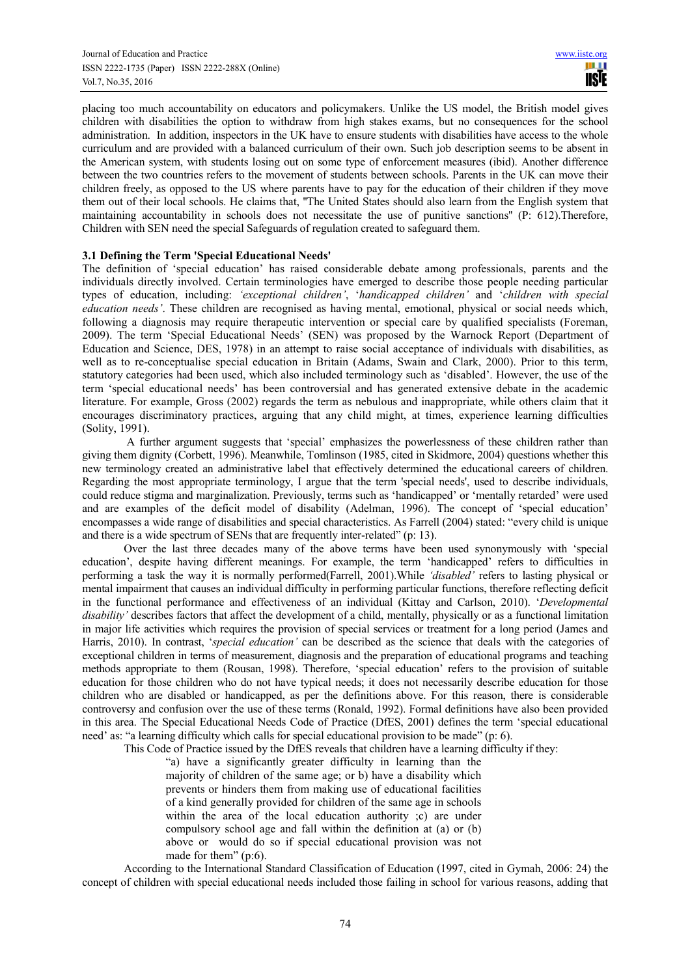placing too much accountability on educators and policymakers. Unlike the US model, the British model gives children with disabilities the option to withdraw from high stakes exams, but no consequences for the school administration. In addition, inspectors in the UK have to ensure students with disabilities have access to the whole curriculum and are provided with a balanced curriculum of their own. Such job description seems to be absent in the American system, with students losing out on some type of enforcement measures (ibid). Another difference between the two countries refers to the movement of students between schools. Parents in the UK can move their children freely, as opposed to the US where parents have to pay for the education of their children if they move them out of their local schools. He claims that, ''The United States should also learn from the English system that maintaining accountability in schools does not necessitate the use of punitive sanctions'' (P: 612).Therefore, Children with SEN need the special Safeguards of regulation created to safeguard them.

## **3.1 Defining the Term 'Special Educational Needs'**

The definition of 'special education' has raised considerable debate among professionals, parents and the individuals directly involved. Certain terminologies have emerged to describe those people needing particular types of education, including: *'exceptional children'*, '*handicapped children'* and '*children with special education needs'*. These children are recognised as having mental, emotional, physical or social needs which, following a diagnosis may require therapeutic intervention or special care by qualified specialists (Foreman, 2009). The term 'Special Educational Needs' (SEN) was proposed by the Warnock Report (Department of Education and Science, DES, 1978) in an attempt to raise social acceptance of individuals with disabilities, as well as to re-conceptualise special education in Britain (Adams, Swain and Clark, 2000). Prior to this term, statutory categories had been used, which also included terminology such as 'disabled'. However, the use of the term 'special educational needs' has been controversial and has generated extensive debate in the academic literature. For example, Gross (2002) regards the term as nebulous and inappropriate, while others claim that it encourages discriminatory practices, arguing that any child might, at times, experience learning difficulties (Solity, 1991).

 A further argument suggests that 'special' emphasizes the powerlessness of these children rather than giving them dignity (Corbett, 1996). Meanwhile, Tomlinson (1985, cited in Skidmore, 2004) questions whether this new terminology created an administrative label that effectively determined the educational careers of children. Regarding the most appropriate terminology, I argue that the term 'special needs', used to describe individuals, could reduce stigma and marginalization. Previously, terms such as 'handicapped' or 'mentally retarded' were used and are examples of the deficit model of disability (Adelman, 1996). The concept of 'special education' encompasses a wide range of disabilities and special characteristics. As Farrell (2004) stated: "every child is unique and there is a wide spectrum of SENs that are frequently inter-related" (p: 13).

Over the last three decades many of the above terms have been used synonymously with 'special education', despite having different meanings. For example, the term 'handicapped' refers to difficulties in performing a task the way it is normally performed(Farrell, 2001).While *'disabled'* refers to lasting physical or mental impairment that causes an individual difficulty in performing particular functions, therefore reflecting deficit in the functional performance and effectiveness of an individual (Kittay and Carlson, 2010). '*Developmental disability'* describes factors that affect the development of a child, mentally, physically or as a functional limitation in major life activities which requires the provision of special services or treatment for a long period (James and Harris, 2010). In contrast, '*special education'* can be described as the science that deals with the categories of exceptional children in terms of measurement, diagnosis and the preparation of educational programs and teaching methods appropriate to them (Rousan, 1998). Therefore, 'special education' refers to the provision of suitable education for those children who do not have typical needs; it does not necessarily describe education for those children who are disabled or handicapped, as per the definitions above. For this reason, there is considerable controversy and confusion over the use of these terms (Ronald, 1992). Formal definitions have also been provided in this area. The Special Educational Needs Code of Practice (DfES, 2001) defines the term 'special educational need' as: "a learning difficulty which calls for special educational provision to be made" (p: 6).

This Code of Practice issued by the DfES reveals that children have a learning difficulty if they:

"a) have a significantly greater difficulty in learning than the majority of children of the same age; or b) have a disability which prevents or hinders them from making use of educational facilities of a kind generally provided for children of the same age in schools within the area of the local education authority ;c) are under compulsory school age and fall within the definition at (a) or (b) above or would do so if special educational provision was not made for them" (p:6).

According to the International Standard Classification of Education (1997, cited in Gymah, 2006: 24) the concept of children with special educational needs included those failing in school for various reasons, adding that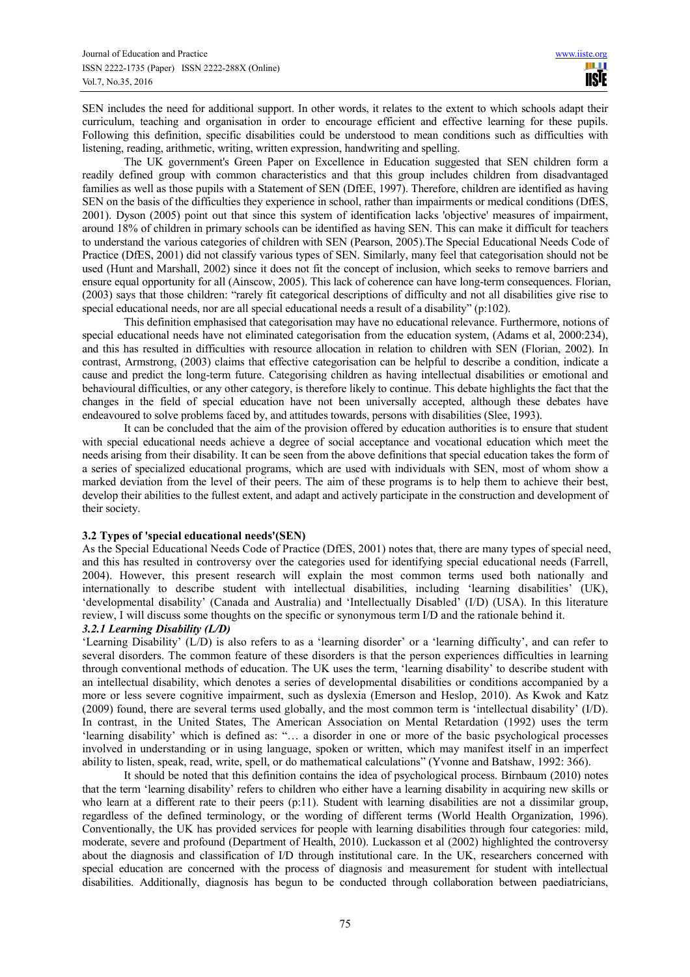SEN includes the need for additional support. In other words, it relates to the extent to which schools adapt their curriculum, teaching and organisation in order to encourage efficient and effective learning for these pupils. Following this definition, specific disabilities could be understood to mean conditions such as difficulties with listening, reading, arithmetic, writing, written expression, handwriting and spelling.

The UK government's Green Paper on Excellence in Education suggested that SEN children form a readily defined group with common characteristics and that this group includes children from disadvantaged families as well as those pupils with a Statement of SEN (DfEE, 1997). Therefore, children are identified as having SEN on the basis of the difficulties they experience in school, rather than impairments or medical conditions (DfES, 2001). Dyson (2005) point out that since this system of identification lacks 'objective' measures of impairment, around 18% of children in primary schools can be identified as having SEN. This can make it difficult for teachers to understand the various categories of children with SEN (Pearson, 2005).The Special Educational Needs Code of Practice (DfES, 2001) did not classify various types of SEN. Similarly, many feel that categorisation should not be used (Hunt and Marshall, 2002) since it does not fit the concept of inclusion, which seeks to remove barriers and ensure equal opportunity for all (Ainscow, 2005). This lack of coherence can have long-term consequences. Florian, (2003) says that those children: "rarely fit categorical descriptions of difficulty and not all disabilities give rise to special educational needs, nor are all special educational needs a result of a disability" (p:102).

This definition emphasised that categorisation may have no educational relevance. Furthermore, notions of special educational needs have not eliminated categorisation from the education system, (Adams et al, 2000:234), and this has resulted in difficulties with resource allocation in relation to children with SEN (Florian, 2002). In contrast, Armstrong, (2003) claims that effective categorisation can be helpful to describe a condition, indicate a cause and predict the long-term future. Categorising children as having intellectual disabilities or emotional and behavioural difficulties, or any other category, is therefore likely to continue. This debate highlights the fact that the changes in the field of special education have not been universally accepted, although these debates have endeavoured to solve problems faced by, and attitudes towards, persons with disabilities (Slee, 1993).

It can be concluded that the aim of the provision offered by education authorities is to ensure that student with special educational needs achieve a degree of social acceptance and vocational education which meet the needs arising from their disability. It can be seen from the above definitions that special education takes the form of a series of specialized educational programs, which are used with individuals with SEN, most of whom show a marked deviation from the level of their peers. The aim of these programs is to help them to achieve their best, develop their abilities to the fullest extent, and adapt and actively participate in the construction and development of their society.

# **3.2 Types of 'special educational needs'(SEN)**

As the Special Educational Needs Code of Practice (DfES, 2001) notes that, there are many types of special need, and this has resulted in controversy over the categories used for identifying special educational needs (Farrell, 2004). However, this present research will explain the most common terms used both nationally and internationally to describe student with intellectual disabilities, including 'learning disabilities' (UK), 'developmental disability' (Canada and Australia) and 'Intellectually Disabled' (I/D) (USA). In this literature review, I will discuss some thoughts on the specific or synonymous term I/D and the rationale behind it.

# *3.2.1 Learning Disability (L/D)*

'Learning Disability' (L/D) is also refers to as a 'learning disorder' or a 'learning difficulty', and can refer to several disorders. The common feature of these disorders is that the person experiences difficulties in learning through conventional methods of education. The UK uses the term, 'learning disability' to describe student with an intellectual disability, which denotes a series of developmental disabilities or conditions accompanied by a more or less severe cognitive impairment, such as dyslexia (Emerson and Heslop, 2010). As Kwok and Katz (2009) found, there are several terms used globally, and the most common term is 'intellectual disability' (I/D). In contrast, in the United States, The American Association on Mental Retardation (1992) uses the term 'learning disability' which is defined as: "… a disorder in one or more of the basic psychological processes involved in understanding or in using language, spoken or written, which may manifest itself in an imperfect ability to listen, speak, read, write, spell, or do mathematical calculations" (Yvonne and Batshaw, 1992: 366).

It should be noted that this definition contains the idea of psychological process. Birnbaum (2010) notes that the term 'learning disability' refers to children who either have a learning disability in acquiring new skills or who learn at a different rate to their peers (p:11). Student with learning disabilities are not a dissimilar group, regardless of the defined terminology, or the wording of different terms (World Health Organization, 1996). Conventionally, the UK has provided services for people with learning disabilities through four categories: mild, moderate, severe and profound (Department of Health, 2010). Luckasson et al (2002) highlighted the controversy about the diagnosis and classification of I/D through institutional care. In the UK, researchers concerned with special education are concerned with the process of diagnosis and measurement for student with intellectual disabilities. Additionally, diagnosis has begun to be conducted through collaboration between paediatricians,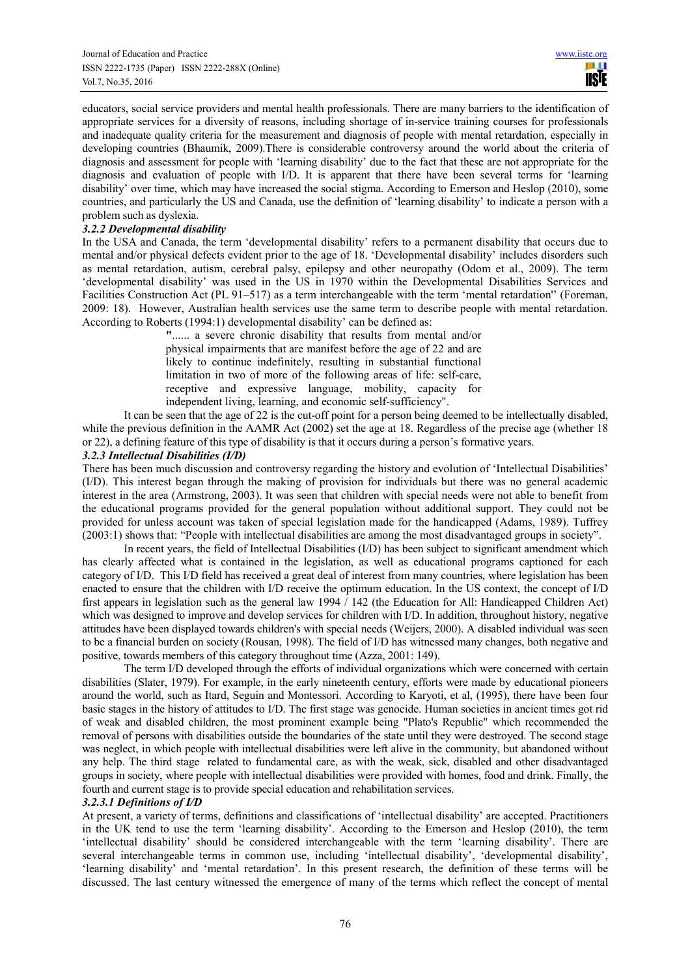educators, social service providers and mental health professionals. There are many barriers to the identification of appropriate services for a diversity of reasons, including shortage of in-service training courses for professionals and inadequate quality criteria for the measurement and diagnosis of people with mental retardation, especially in developing countries (Bhaumik, 2009).There is considerable controversy around the world about the criteria of diagnosis and assessment for people with 'learning disability' due to the fact that these are not appropriate for the diagnosis and evaluation of people with I/D. It is apparent that there have been several terms for 'learning disability' over time, which may have increased the social stigma. According to Emerson and Heslop (2010), some countries, and particularly the US and Canada, use the definition of 'learning disability' to indicate a person with a problem such as dyslexia.

# *3.2.2 Developmental disability*

In the USA and Canada, the term 'developmental disability' refers to a permanent disability that occurs due to mental and/or physical defects evident prior to the age of 18. 'Developmental disability' includes disorders such as mental retardation, autism, cerebral palsy, epilepsy and other neuropathy (Odom et al., 2009). The term 'developmental disability' was used in the US in 1970 within the Developmental Disabilities Services and Facilities Construction Act (PL 91–517) as a term interchangeable with the term 'mental retardation'' (Foreman, 2009: 18). However, Australian health services use the same term to describe people with mental retardation. According to Roberts (1994:1) developmental disability' can be defined as:

> **"**...... a severe chronic disability that results from mental and/or physical impairments that are manifest before the age of 22 and are likely to continue indefinitely, resulting in substantial functional limitation in two of more of the following areas of life: self-care, receptive and expressive language, mobility, capacity for independent living, learning, and economic self-sufficiency".

It can be seen that the age of 22 is the cut-off point for a person being deemed to be intellectually disabled, while the previous definition in the AAMR Act (2002) set the age at 18. Regardless of the precise age (whether 18 or 22), a defining feature of this type of disability is that it occurs during a person's formative years.

# *3.2.3 Intellectual Disabilities (I/D)*

There has been much discussion and controversy regarding the history and evolution of 'Intellectual Disabilities' (I/D). This interest began through the making of provision for individuals but there was no general academic interest in the area (Armstrong, 2003). It was seen that children with special needs were not able to benefit from the educational programs provided for the general population without additional support. They could not be provided for unless account was taken of special legislation made for the handicapped (Adams, 1989). Tuffrey (2003:1) shows that: "People with intellectual disabilities are among the most disadvantaged groups in society".

In recent years, the field of Intellectual Disabilities (I/D) has been subject to significant amendment which has clearly affected what is contained in the legislation, as well as educational programs captioned for each category of I/D. This I/D field has received a great deal of interest from many countries, where legislation has been enacted to ensure that the children with I/D receive the optimum education. In the US context, the concept of I/D first appears in legislation such as the general law 1994 / 142 (the Education for All: Handicapped Children Act) which was designed to improve and develop services for children with I/D. In addition, throughout history, negative attitudes have been displayed towards children's with special needs (Weijers, 2000). A disabled individual was seen to be a financial burden on society (Rousan, 1998). The field of I/D has witnessed many changes, both negative and positive, towards members of this category throughout time (Azza, 2001: 149).

The term I/D developed through the efforts of individual organizations which were concerned with certain disabilities (Slater, 1979). For example, in the early nineteenth century, efforts were made by educational pioneers around the world, such as Itard, Seguin and Montessori. According to Karyoti, et al, (1995), there have been four basic stages in the history of attitudes to I/D. The first stage was genocide. Human societies in ancient times got rid of weak and disabled children, the most prominent example being "Plato's Republic" which recommended the removal of persons with disabilities outside the boundaries of the state until they were destroyed. The second stage was neglect, in which people with intellectual disabilities were left alive in the community, but abandoned without any help. The third stage related to fundamental care, as with the weak, sick, disabled and other disadvantaged groups in society, where people with intellectual disabilities were provided with homes, food and drink. Finally, the fourth and current stage is to provide special education and rehabilitation services.

# *3.2.3.1 Definitions of I/D*

At present, a variety of terms, definitions and classifications of 'intellectual disability' are accepted. Practitioners in the UK tend to use the term 'learning disability'. According to the Emerson and Heslop (2010), the term 'intellectual disability' should be considered interchangeable with the term 'learning disability'. There are several interchangeable terms in common use, including 'intellectual disability', 'developmental disability', 'learning disability' and 'mental retardation'. In this present research, the definition of these terms will be discussed. The last century witnessed the emergence of many of the terms which reflect the concept of mental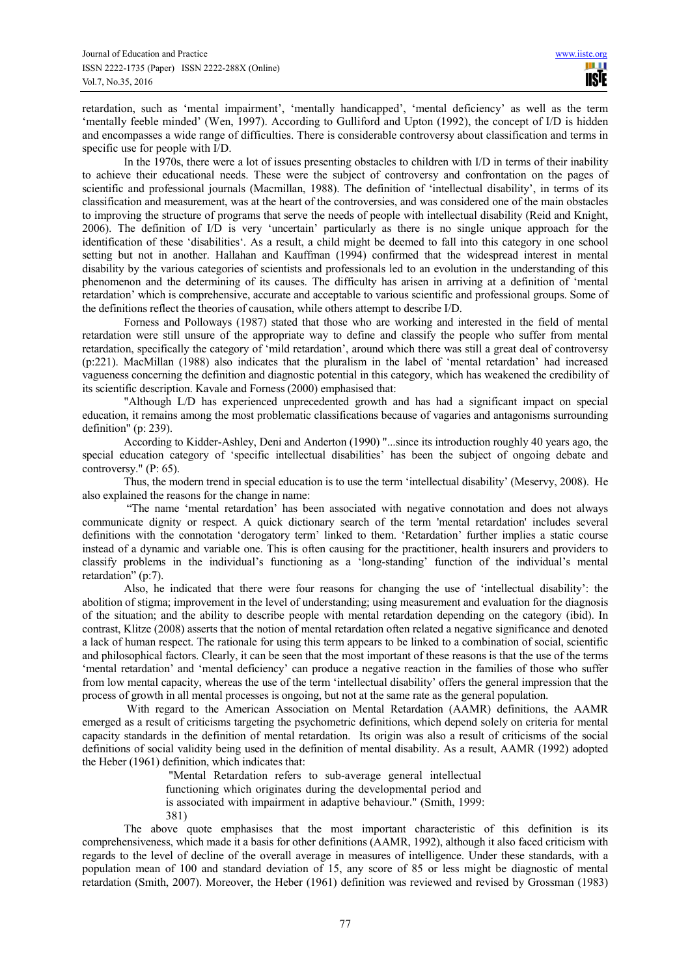retardation, such as 'mental impairment', 'mentally handicapped', 'mental deficiency' as well as the term 'mentally feeble minded' (Wen, 1997). According to Gulliford and Upton (1992), the concept of I/D is hidden and encompasses a wide range of difficulties. There is considerable controversy about classification and terms in specific use for people with I/D.

In the 1970s, there were a lot of issues presenting obstacles to children with I/D in terms of their inability to achieve their educational needs. These were the subject of controversy and confrontation on the pages of scientific and professional journals (Macmillan, 1988). The definition of 'intellectual disability', in terms of its classification and measurement, was at the heart of the controversies, and was considered one of the main obstacles to improving the structure of programs that serve the needs of people with intellectual disability (Reid and Knight, 2006). The definition of I/D is very 'uncertain' particularly as there is no single unique approach for the identification of these 'disabilities'. As a result, a child might be deemed to fall into this category in one school setting but not in another. Hallahan and Kauffman (1994) confirmed that the widespread interest in mental disability by the various categories of scientists and professionals led to an evolution in the understanding of this phenomenon and the determining of its causes. The difficulty has arisen in arriving at a definition of 'mental retardation' which is comprehensive, accurate and acceptable to various scientific and professional groups. Some of the definitions reflect the theories of causation, while others attempt to describe I/D.

Forness and Polloways (1987) stated that those who are working and interested in the field of mental retardation were still unsure of the appropriate way to define and classify the people who suffer from mental retardation, specifically the category of 'mild retardation', around which there was still a great deal of controversy (p:221). MacMillan (1988) also indicates that the pluralism in the label of 'mental retardation' had increased vagueness concerning the definition and diagnostic potential in this category, which has weakened the credibility of its scientific description. Kavale and Forness (2000) emphasised that:

"Although L/D has experienced unprecedented growth and has had a significant impact on special education, it remains among the most problematic classifications because of vagaries and antagonisms surrounding definition" (p: 239).

According to Kidder-Ashley, Deni and Anderton (1990) "...since its introduction roughly 40 years ago, the special education category of 'specific intellectual disabilities' has been the subject of ongoing debate and controversy." (P: 65).

Thus, the modern trend in special education is to use the term 'intellectual disability' (Meservy, 2008). He also explained the reasons for the change in name:

 "The name 'mental retardation' has been associated with negative connotation and does not always communicate dignity or respect. A quick dictionary search of the term 'mental retardation' includes several definitions with the connotation 'derogatory term' linked to them. 'Retardation' further implies a static course instead of a dynamic and variable one. This is often causing for the practitioner, health insurers and providers to classify problems in the individual's functioning as a 'long-standing' function of the individual's mental retardation" (p:7).

Also, he indicated that there were four reasons for changing the use of 'intellectual disability': the abolition of stigma; improvement in the level of understanding; using measurement and evaluation for the diagnosis of the situation; and the ability to describe people with mental retardation depending on the category (ibid). In contrast, Klitze (2008) asserts that the notion of mental retardation often related a negative significance and denoted a lack of human respect. The rationale for using this term appears to be linked to a combination of social, scientific and philosophical factors. Clearly, it can be seen that the most important of these reasons is that the use of the terms 'mental retardation' and 'mental deficiency' can produce a negative reaction in the families of those who suffer from low mental capacity, whereas the use of the term 'intellectual disability' offers the general impression that the process of growth in all mental processes is ongoing, but not at the same rate as the general population.

 With regard to the American Association on Mental Retardation (AAMR) definitions, the AAMR emerged as a result of criticisms targeting the psychometric definitions, which depend solely on criteria for mental capacity standards in the definition of mental retardation. Its origin was also a result of criticisms of the social definitions of social validity being used in the definition of mental disability. As a result, AAMR (1992) adopted the Heber (1961) definition, which indicates that:

> "Mental Retardation refers to sub-average general intellectual functioning which originates during the developmental period and is associated with impairment in adaptive behaviour." (Smith, 1999:

381)

The above quote emphasises that the most important characteristic of this definition is its comprehensiveness, which made it a basis for other definitions (AAMR, 1992), although it also faced criticism with regards to the level of decline of the overall average in measures of intelligence. Under these standards, with a population mean of 100 and standard deviation of 15, any score of 85 or less might be diagnostic of mental retardation (Smith, 2007). Moreover, the Heber (1961) definition was reviewed and revised by Grossman (1983)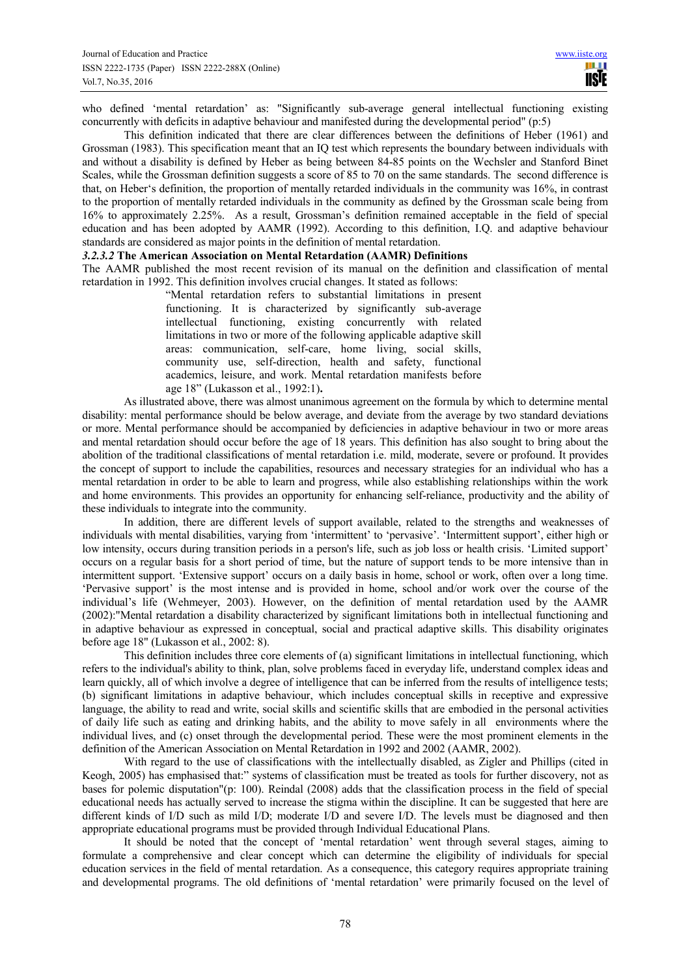who defined 'mental retardation' as: "Significantly sub-average general intellectual functioning existing concurrently with deficits in adaptive behaviour and manifested during the developmental period" (p:5)

This definition indicated that there are clear differences between the definitions of Heber (1961) and Grossman (1983). This specification meant that an IQ test which represents the boundary between individuals with and without a disability is defined by Heber as being between 84-85 points on the Wechsler and Stanford Binet Scales, while the Grossman definition suggests a score of 85 to 70 on the same standards. The second difference is that, on Heber's definition, the proportion of mentally retarded individuals in the community was 16%, in contrast to the proportion of mentally retarded individuals in the community as defined by the Grossman scale being from 16% to approximately 2.25%. As a result, Grossman's definition remained acceptable in the field of special education and has been adopted by AAMR (1992). According to this definition, I.Q. and adaptive behaviour standards are considered as major points in the definition of mental retardation.

#### *3.2.3.2* **The American Association on Mental Retardation (AAMR) Definitions**

The AAMR published the most recent revision of its manual on the definition and classification of mental retardation in 1992. This definition involves crucial changes. It stated as follows:

> "Mental retardation refers to substantial limitations in present functioning. It is characterized by significantly sub-average intellectual functioning, existing concurrently with related limitations in two or more of the following applicable adaptive skill areas: communication, self-care, home living, social skills, community use, self-direction, health and safety, functional academics, leisure, and work. Mental retardation manifests before age 18" (Lukasson et al., 1992:1)**.**

As illustrated above, there was almost unanimous agreement on the formula by which to determine mental disability: mental performance should be below average, and deviate from the average by two standard deviations or more. Mental performance should be accompanied by deficiencies in adaptive behaviour in two or more areas and mental retardation should occur before the age of 18 years. This definition has also sought to bring about the abolition of the traditional classifications of mental retardation i.e. mild, moderate, severe or profound. It provides the concept of support to include the capabilities, resources and necessary strategies for an individual who has a mental retardation in order to be able to learn and progress, while also establishing relationships within the work and home environments. This provides an opportunity for enhancing self-reliance, productivity and the ability of these individuals to integrate into the community.

In addition, there are different levels of support available, related to the strengths and weaknesses of individuals with mental disabilities, varying from 'intermittent' to 'pervasive'. 'Intermittent support', either high or low intensity, occurs during transition periods in a person's life, such as job loss or health crisis. 'Limited support' occurs on a regular basis for a short period of time, but the nature of support tends to be more intensive than in intermittent support. 'Extensive support' occurs on a daily basis in home, school or work, often over a long time. 'Pervasive support' is the most intense and is provided in home, school and/or work over the course of the individual's life (Wehmeyer, 2003). However, on the definition of mental retardation used by the AAMR (2002):"Mental retardation a disability characterized by significant limitations both in intellectual functioning and in adaptive behaviour as expressed in conceptual, social and practical adaptive skills. This disability originates before age 18" (Lukasson et al., 2002: 8).

This definition includes three core elements of (a) significant limitations in intellectual functioning, which refers to the individual's ability to think, plan, solve problems faced in everyday life, understand complex ideas and learn quickly, all of which involve a degree of intelligence that can be inferred from the results of intelligence tests; (b) significant limitations in adaptive behaviour, which includes conceptual skills in receptive and expressive language, the ability to read and write, social skills and scientific skills that are embodied in the personal activities of daily life such as eating and drinking habits, and the ability to move safely in all environments where the individual lives, and (c) onset through the developmental period. These were the most prominent elements in the definition of the American Association on Mental Retardation in 1992 and 2002 (AAMR, 2002).

With regard to the use of classifications with the intellectually disabled, as Zigler and Phillips (cited in Keogh, 2005) has emphasised that:" systems of classification must be treated as tools for further discovery, not as bases for polemic disputation"(p: 100). Reindal (2008) adds that the classification process in the field of special educational needs has actually served to increase the stigma within the discipline. It can be suggested that here are different kinds of I/D such as mild I/D; moderate I/D and severe I/D. The levels must be diagnosed and then appropriate educational programs must be provided through Individual Educational Plans.

It should be noted that the concept of 'mental retardation' went through several stages, aiming to formulate a comprehensive and clear concept which can determine the eligibility of individuals for special education services in the field of mental retardation. As a consequence, this category requires appropriate training and developmental programs. The old definitions of 'mental retardation' were primarily focused on the level of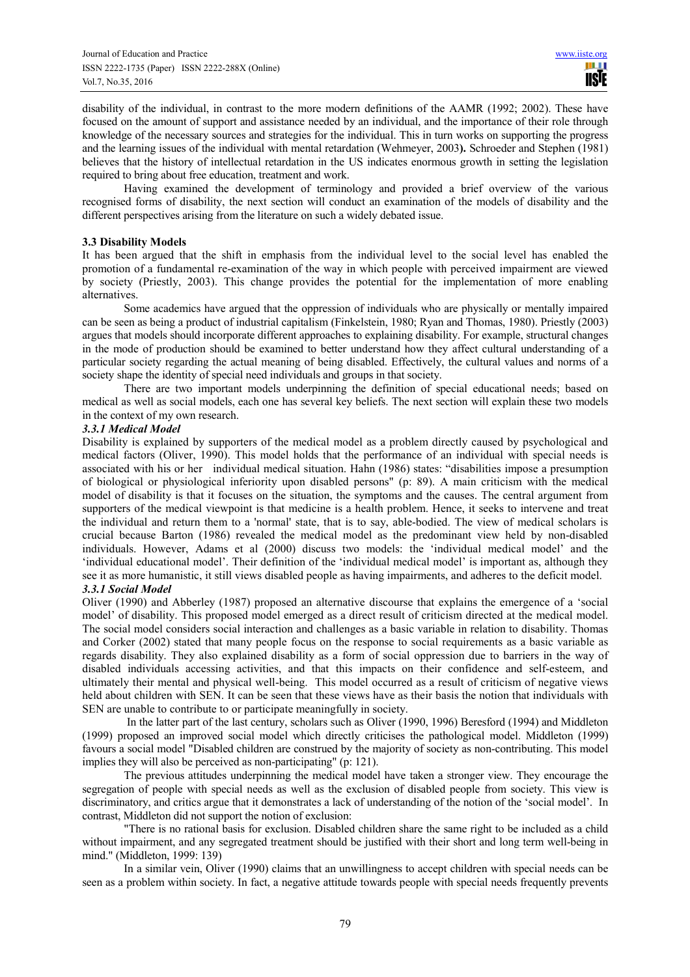disability of the individual, in contrast to the more modern definitions of the AAMR (1992; 2002). These have focused on the amount of support and assistance needed by an individual, and the importance of their role through knowledge of the necessary sources and strategies for the individual. This in turn works on supporting the progress and the learning issues of the individual with mental retardation (Wehmeyer, 2003**).** Schroeder and Stephen (1981) believes that the history of intellectual retardation in the US indicates enormous growth in setting the legislation required to bring about free education, treatment and work.

Having examined the development of terminology and provided a brief overview of the various recognised forms of disability, the next section will conduct an examination of the models of disability and the different perspectives arising from the literature on such a widely debated issue.

## **3.3 Disability Models**

It has been argued that the shift in emphasis from the individual level to the social level has enabled the promotion of a fundamental re-examination of the way in which people with perceived impairment are viewed by society (Priestly, 2003). This change provides the potential for the implementation of more enabling alternatives.

Some academics have argued that the oppression of individuals who are physically or mentally impaired can be seen as being a product of industrial capitalism (Finkelstein, 1980; Ryan and Thomas, 1980). Priestly (2003) argues that models should incorporate different approaches to explaining disability. For example, structural changes in the mode of production should be examined to better understand how they affect cultural understanding of a particular society regarding the actual meaning of being disabled. Effectively, the cultural values and norms of a society shape the identity of special need individuals and groups in that society.

There are two important models underpinning the definition of special educational needs; based on medical as well as social models, each one has several key beliefs. The next section will explain these two models in the context of my own research.

# *3.3.1 Medical Model*

Disability is explained by supporters of the medical model as a problem directly caused by psychological and medical factors (Oliver, 1990). This model holds that the performance of an individual with special needs is associated with his or her individual medical situation. Hahn (1986) states: "disabilities impose a presumption of biological or physiological inferiority upon disabled persons" (p: 89). A main criticism with the medical model of disability is that it focuses on the situation, the symptoms and the causes. The central argument from supporters of the medical viewpoint is that medicine is a health problem. Hence, it seeks to intervene and treat the individual and return them to a 'normal' state, that is to say, able-bodied. The view of medical scholars is crucial because Barton (1986) revealed the medical model as the predominant view held by non-disabled individuals. However, Adams et al (2000) discuss two models: the 'individual medical model' and the 'individual educational model'. Their definition of the 'individual medical model' is important as, although they see it as more humanistic, it still views disabled people as having impairments, and adheres to the deficit model. *3.3.1 Social Model* 

Oliver (1990) and Abberley (1987) proposed an alternative discourse that explains the emergence of a 'social model' of disability. This proposed model emerged as a direct result of criticism directed at the medical model. The social model considers social interaction and challenges as a basic variable in relation to disability. Thomas and Corker (2002) stated that many people focus on the response to social requirements as a basic variable as regards disability. They also explained disability as a form of social oppression due to barriers in the way of disabled individuals accessing activities, and that this impacts on their confidence and self-esteem, and ultimately their mental and physical well-being. This model occurred as a result of criticism of negative views held about children with SEN. It can be seen that these views have as their basis the notion that individuals with SEN are unable to contribute to or participate meaningfully in society.

 In the latter part of the last century, scholars such as Oliver (1990, 1996) Beresford (1994) and Middleton (1999) proposed an improved social model which directly criticises the pathological model. Middleton (1999) favours a social model "Disabled children are construed by the majority of society as non-contributing. This model implies they will also be perceived as non-participating" (p: 121).

The previous attitudes underpinning the medical model have taken a stronger view. They encourage the segregation of people with special needs as well as the exclusion of disabled people from society. This view is discriminatory, and critics argue that it demonstrates a lack of understanding of the notion of the 'social model'. In contrast, Middleton did not support the notion of exclusion:

"There is no rational basis for exclusion. Disabled children share the same right to be included as a child without impairment, and any segregated treatment should be justified with their short and long term well-being in mind." (Middleton, 1999: 139)

In a similar vein, Oliver (1990) claims that an unwillingness to accept children with special needs can be seen as a problem within society. In fact, a negative attitude towards people with special needs frequently prevents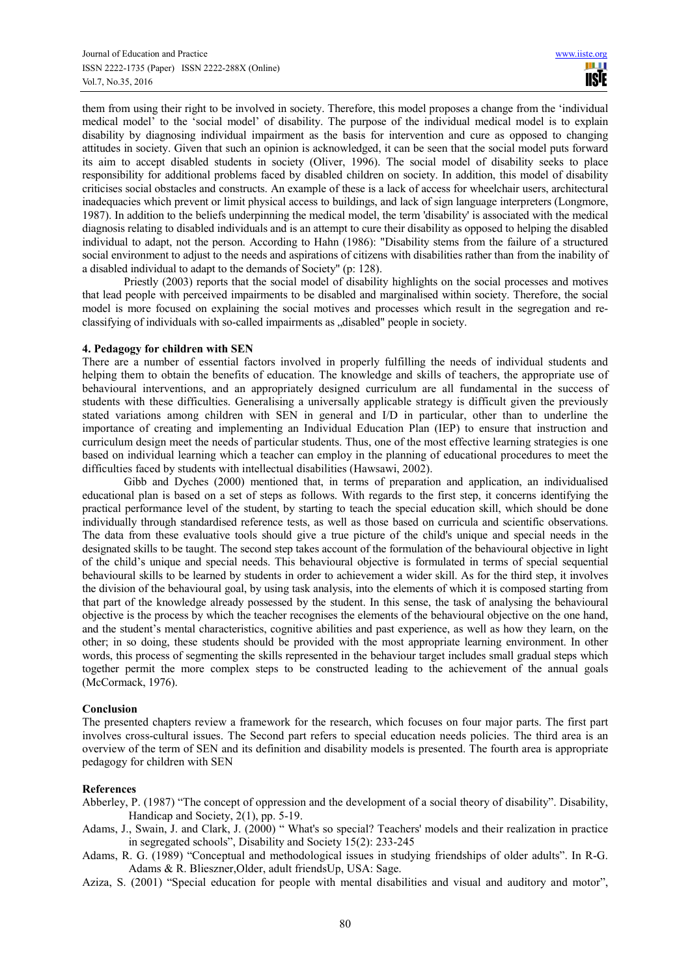them from using their right to be involved in society. Therefore, this model proposes a change from the 'individual medical model' to the 'social model' of disability. The purpose of the individual medical model is to explain disability by diagnosing individual impairment as the basis for intervention and cure as opposed to changing attitudes in society. Given that such an opinion is acknowledged, it can be seen that the social model puts forward its aim to accept disabled students in society (Oliver, 1996). The social model of disability seeks to place responsibility for additional problems faced by disabled children on society. In addition, this model of disability criticises social obstacles and constructs. An example of these is a lack of access for wheelchair users, architectural inadequacies which prevent or limit physical access to buildings, and lack of sign language interpreters (Longmore, 1987). In addition to the beliefs underpinning the medical model, the term 'disability' is associated with the medical diagnosis relating to disabled individuals and is an attempt to cure their disability as opposed to helping the disabled individual to adapt, not the person. According to Hahn (1986): "Disability stems from the failure of a structured social environment to adjust to the needs and aspirations of citizens with disabilities rather than from the inability of a disabled individual to adapt to the demands of Society" (p: 128).

Priestly (2003) reports that the social model of disability highlights on the social processes and motives that lead people with perceived impairments to be disabled and marginalised within society. Therefore, the social model is more focused on explaining the social motives and processes which result in the segregation and reclassifying of individuals with so-called impairments as "disabled" people in society.

## **4. Pedagogy for children with SEN**

There are a number of essential factors involved in properly fulfilling the needs of individual students and helping them to obtain the benefits of education. The knowledge and skills of teachers, the appropriate use of behavioural interventions, and an appropriately designed curriculum are all fundamental in the success of students with these difficulties. Generalising a universally applicable strategy is difficult given the previously stated variations among children with SEN in general and I/D in particular, other than to underline the importance of creating and implementing an Individual Education Plan (IEP) to ensure that instruction and curriculum design meet the needs of particular students. Thus, one of the most effective learning strategies is one based on individual learning which a teacher can employ in the planning of educational procedures to meet the difficulties faced by students with intellectual disabilities (Hawsawi, 2002).

Gibb and Dyches (2000) mentioned that, in terms of preparation and application, an individualised educational plan is based on a set of steps as follows. With regards to the first step, it concerns identifying the practical performance level of the student, by starting to teach the special education skill, which should be done individually through standardised reference tests, as well as those based on curricula and scientific observations. The data from these evaluative tools should give a true picture of the child's unique and special needs in the designated skills to be taught. The second step takes account of the formulation of the behavioural objective in light of the child's unique and special needs. This behavioural objective is formulated in terms of special sequential behavioural skills to be learned by students in order to achievement a wider skill. As for the third step, it involves the division of the behavioural goal, by using task analysis, into the elements of which it is composed starting from that part of the knowledge already possessed by the student. In this sense, the task of analysing the behavioural objective is the process by which the teacher recognises the elements of the behavioural objective on the one hand, and the student's mental characteristics, cognitive abilities and past experience, as well as how they learn, on the other; in so doing, these students should be provided with the most appropriate learning environment. In other words, this process of segmenting the skills represented in the behaviour target includes small gradual steps which together permit the more complex steps to be constructed leading to the achievement of the annual goals (McCormack, 1976).

## **Conclusion**

The presented chapters review a framework for the research, which focuses on four major parts. The first part involves cross-cultural issues. The Second part refers to special education needs policies. The third area is an overview of the term of SEN and its definition and disability models is presented. The fourth area is appropriate pedagogy for children with SEN

## **References**

- Abberley, P. (1987) "The concept of oppression and the development of a social theory of disability". Disability, Handicap and Society, 2(1), pp. 5-19.
- Adams, J., Swain, J. and Clark, J. (2000) " What's so special? Teachers' models and their realization in practice in segregated schools", Disability and Society 15(2): 233-245
- Adams, R. G. (1989) "Conceptual and methodological issues in studying friendships of older adults". In R-G. Adams & R. Blieszner,Older, adult friendsUp, USA: Sage.
- Aziza, S. (2001) "Special education for people with mental disabilities and visual and auditory and motor",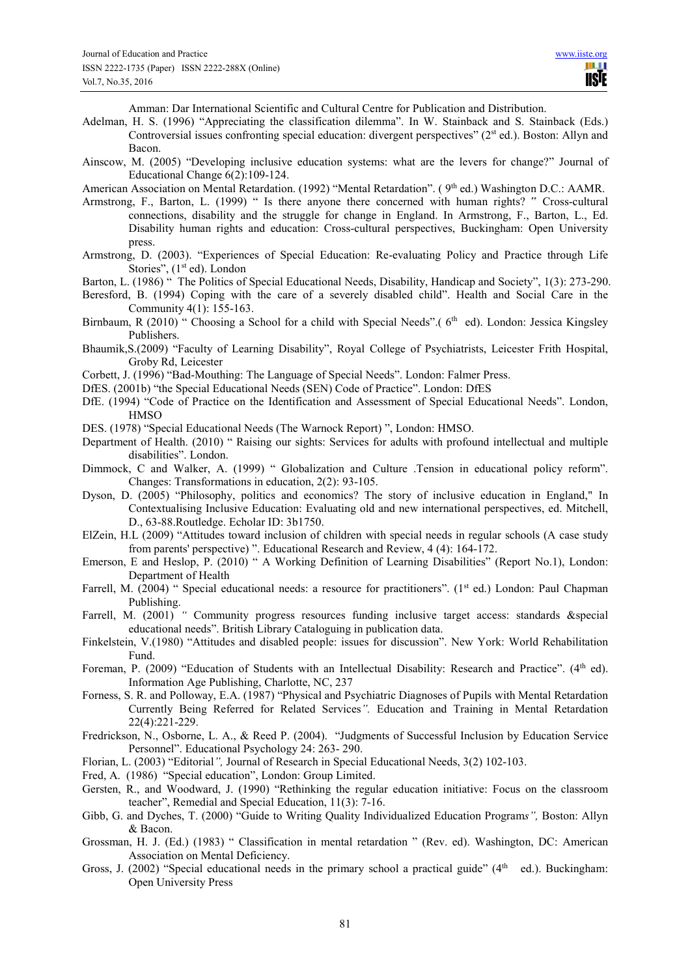Amman: Dar International Scientific and Cultural Centre for Publication and Distribution.

- Adelman, H. S. (1996) "Appreciating the classification dilemma". In W. Stainback and S. Stainback (Eds.) Controversial issues confronting special education: divergent perspectives" (2st ed.). Boston: Allyn and Bacon.
- Ainscow, M. (2005) "Developing inclusive education systems: what are the levers for change?" Journal of Educational Change 6(2):109-124.

American Association on Mental Retardation. (1992) "Mental Retardation". (9<sup>th</sup> ed.) Washington D.C.: AAMR.

- Armstrong, F., Barton, L. (1999) " Is there anyone there concerned with human rights? " Cross-cultural connections, disability and the struggle for change in England. In Armstrong, F., Barton, L., Ed. Disability human rights and education: Cross-cultural perspectives, Buckingham: Open University press.
- Armstrong, D. (2003). "Experiences of Special Education: Re-evaluating Policy and Practice through Life Stories", (1<sup>st</sup> ed). London

Barton, L. (1986) " The Politics of Special Educational Needs, Disability, Handicap and Society", 1(3): 273-290.

- Beresford, B. (1994) Coping with the care of a severely disabled child". Health and Social Care in the Community 4(1): 155-163.
- Birnbaum, R (2010) " Choosing a School for a child with Special Needs".  $(6<sup>th</sup>$  ed). London: Jessica Kingsley Publishers.
- Bhaumik,S.(2009) "Faculty of Learning Disability", Royal College of Psychiatrists, Leicester Frith Hospital, Groby Rd, Leicester
- Corbett, J. (1996) "Bad-Mouthing: The Language of Special Needs". London: Falmer Press.
- DfES. (2001b) "the Special Educational Needs (SEN) Code of Practice". London: DfES
- DfE. (1994) "Code of Practice on the Identification and Assessment of Special Educational Needs". London, **HMSO**
- DES. (1978) "Special Educational Needs (The Warnock Report) ", London: HMSO.
- Department of Health. (2010) " Raising our sights: Services for adults with profound intellectual and multiple disabilities". London.
- Dimmock, C and Walker, A. (1999) " Globalization and Culture .Tension in educational policy reform". Changes: Transformations in education, 2(2): 93-105.
- Dyson, D. (2005) "Philosophy, politics and economics? The story of inclusive education in England," In Contextualising Inclusive Education: Evaluating old and new international perspectives, ed. Mitchell, D., 63-88.Routledge. Echolar ID: 3b1750.
- ElZein, H.L (2009) "Attitudes toward inclusion of children with special needs in regular schools (A case study from parents' perspective) ". Educational Research and Review, 4 (4): 164-172.
- Emerson, E and Heslop, P. (2010) " A Working Definition of Learning Disabilities" (Report No.1), London: Department of Health
- Farrell, M. (2004) " Special educational needs: a resource for practitioners". (1<sup>st</sup> ed.) London: Paul Chapman Publishing.
- Farrell, M. (2001) *"* Community progress resources funding inclusive target access: standards &special educational needs". British Library Cataloguing in publication data.
- Finkelstein, V.(1980) "Attitudes and disabled people: issues for discussion". New York: World Rehabilitation Fund.
- Foreman, P. (2009) "Education of Students with an Intellectual Disability: Research and Practice". (4<sup>th</sup> ed). Information Age Publishing, Charlotte, NC, 237
- Forness, S. R. and Polloway, E.A. (1987) "Physical and Psychiatric Diagnoses of Pupils with Mental Retardation Currently Being Referred for Related Services*".* Education and Training in Mental Retardation 22(4):221-229.
- Fredrickson, N., Osborne, L. A., & Reed P. (2004). "Judgments of Successful Inclusion by Education Service Personnel". Educational Psychology 24: 263- 290.
- Florian, L. (2003) "Editorial*",* Journal of Research in Special Educational Needs, 3(2) 102-103.
- Fred, A. (1986) "Special education", London: Group Limited.
- Gersten, R., and Woodward, J. (1990) "Rethinking the regular education initiative: Focus on the classroom teacher", Remedial and Special Education, 11(3): 7-16.
- Gibb, G. and Dyches, T. (2000) "Guide to Writing Quality Individualized Education Program*s",* Boston: Allyn & Bacon.
- Grossman, H. J. (Ed.) (1983) " Classification in mental retardation " (Rev. ed). Washington, DC: American Association on Mental Deficiency.
- Gross, J. (2002) "Special educational needs in the primary school a practical guide" ( $4<sup>th</sup>$  ed.). Buckingham: Open University Press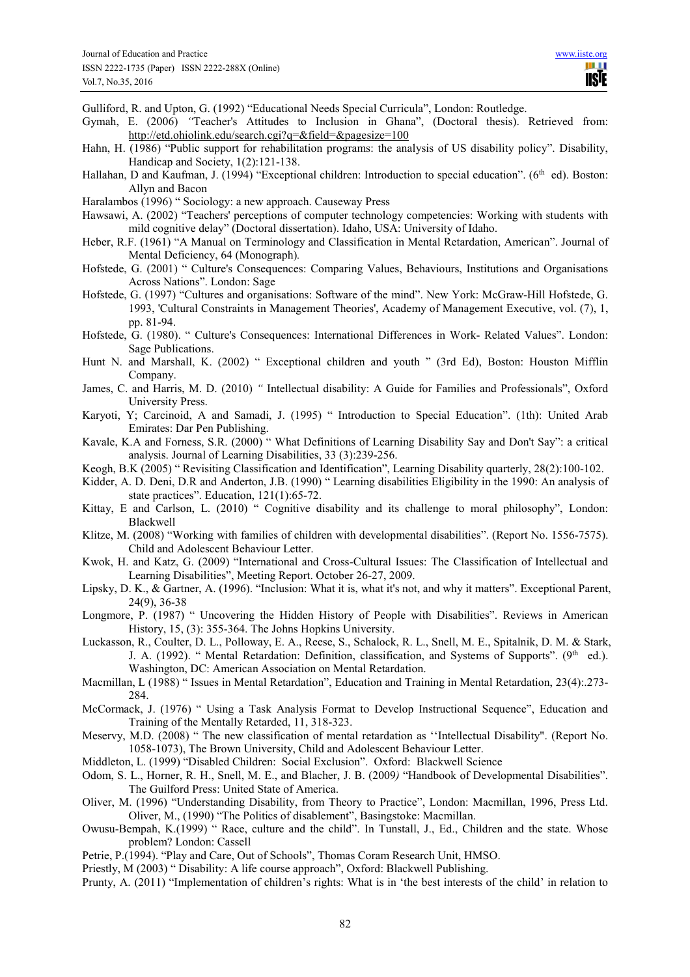Gulliford, R. and Upton, G. (1992) "Educational Needs Special Curricula", London: Routledge.

- Gymah, E. (2006) *"*Teacher's Attitudes to Inclusion in Ghana", (Doctoral thesis). Retrieved from: http://etd.ohiolink.edu/search.cgi?q=&field=&pagesize=100
- Hahn, H. (1986) "Public support for rehabilitation programs: the analysis of US disability policy". Disability, Handicap and Society, 1(2):121-138.
- Hallahan, D and Kaufman, J. (1994) "Exceptional children: Introduction to special education". (6<sup>th</sup> ed). Boston: Allyn and Bacon
- Haralambos (1996) " Sociology: a new approach. Causeway Press
- Hawsawi, A. (2002) "Teachers' perceptions of computer technology competencies: Working with students with mild cognitive delay" (Doctoral dissertation). Idaho, USA: University of Idaho.
- Heber, R.F. (1961) "A Manual on Terminology and Classification in Mental Retardation, American". Journal of Mental Deficiency, 64 (Monograph)*.*
- Hofstede, G. (2001) " Culture's Consequences: Comparing Values, Behaviours, Institutions and Organisations Across Nations". London: Sage
- Hofstede, G. (1997) "Cultures and organisations: Software of the mind". New York: McGraw-Hill Hofstede, G. 1993, 'Cultural Constraints in Management Theories', Academy of Management Executive, vol. (7), 1, pp. 81-94.
- Hofstede, G. (1980). " Culture's Consequences: International Differences in Work- Related Values". London: Sage Publications.
- Hunt N. and Marshall, K. (2002) " Exceptional children and youth " (3rd Ed), Boston: Houston Mifflin Company.
- James, C. and Harris, M. D. (2010) *"* Intellectual disability: A Guide for Families and Professionals", Oxford University Press.
- Karyoti, Y; Carcinoid, A and Samadi, J. (1995) " Introduction to Special Education". (1th): United Arab Emirates: Dar Pen Publishing.
- Kavale, K.A and Forness, S.R. (2000) " What Definitions of Learning Disability Say and Don't Say": a critical analysis. Journal of Learning Disabilities, 33 (3):239-256.
- Keogh, B.K (2005) " Revisiting Classification and Identification", Learning Disability quarterly, 28(2):100-102.
- Kidder, A. D. Deni, D.R and Anderton, J.B. (1990) " Learning disabilities Eligibility in the 1990: An analysis of state practices". Education, 121(1):65-72.
- Kittay, E and Carlson, L. (2010) " Cognitive disability and its challenge to moral philosophy", London: Blackwell
- Klitze, M. (2008) "Working with families of children with developmental disabilities". (Report No. 1556-7575). Child and Adolescent Behaviour Letter.
- Kwok, H. and Katz, G. (2009) "International and Cross-Cultural Issues: The Classification of Intellectual and Learning Disabilities", Meeting Report. October 26-27, 2009.
- Lipsky, D. K., & Gartner, A. (1996). "Inclusion: What it is, what it's not, and why it matters". Exceptional Parent, 24(9), 36-38
- Longmore, P. (1987) " Uncovering the Hidden History of People with Disabilities". Reviews in American History, 15, (3): 355-364. The Johns Hopkins University.
- Luckasson, R., Coulter, D. L., Polloway, E. A., Reese, S., Schalock, R. L., Snell, M. E., Spitalnik, D. M. & Stark, J. A. (1992). " Mental Retardation: Definition, classification, and Systems of Supports". (9<sup>th</sup> ed.). Washington, DC: American Association on Mental Retardation.
- Macmillan, L (1988) " Issues in Mental Retardation", Education and Training in Mental Retardation, 23(4): 273-284.
- McCormack, J. (1976) " Using a Task Analysis Format to Develop Instructional Sequence", Education and Training of the Mentally Retarded, 11, 318-323.
- Meservy, M.D. (2008) " The new classification of mental retardation as ''Intellectual Disability". (Report No. 1058-1073), The Brown University, Child and Adolescent Behaviour Letter.
- Middleton, L. (1999) "Disabled Children: Social Exclusion". Oxford: Blackwell Science
- Odom, S. L., Horner, R. H., Snell, M. E., and Blacher, J. B. (2009*)* "Handbook of Developmental Disabilities". The Guilford Press: United State of America.
- Oliver, M. (1996) "Understanding Disability, from Theory to Practice", London: Macmillan, 1996, Press Ltd. Oliver, M., (1990) "The Politics of disablement", Basingstoke: Macmillan.
- Owusu-Bempah, K.(1999) " Race, culture and the child". In Tunstall, J., Ed., Children and the state. Whose problem? London: Cassell
- Petrie, P.(1994). "Play and Care, Out of Schools", Thomas Coram Research Unit, HMSO.
- Priestly, M (2003) " Disability: A life course approach", Oxford: Blackwell Publishing.
- Prunty, A. (2011) "Implementation of children's rights: What is in 'the best interests of the child' in relation to